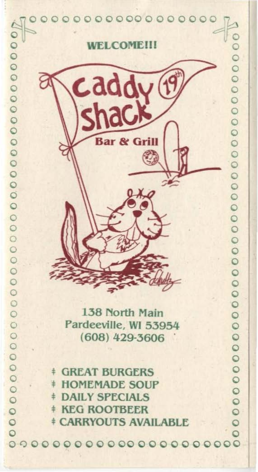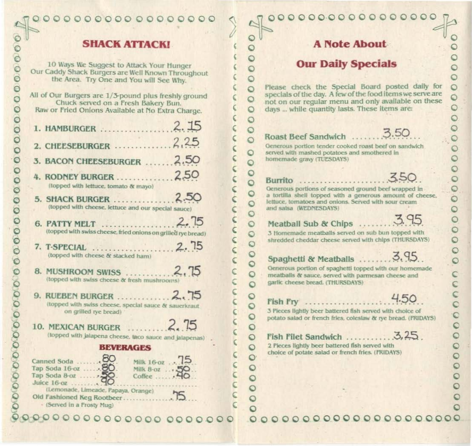#### **SHACK ATTACK!**

10 Ways We Suggest to Attack Your Hunger Our Caddy Shack Burgers are Well Known Throughout the Area. Try One and You will See Why.

e

All of Our Burgers are 1/3-pound plus freshly ground Chuck served on a Fresh Bakery Bun. Raw or Fried Onions Available at No Extra Charge. 3. BACON CHEESEBURGER ...... 2.50

- (topped with lettuce, tomato & mayo)
- (topped with cheese, lettuce and our special sauce)
- (topped with swiss cheese, fried onions on grilled rye bread)
- (topped with cheese & stacked ham)
- (topped with swiss cheese & fresh mushrooms)
- (topped with swiss cheese, special sauce & sauerkraut on grilled rye bread)
- (topped with jalapena cheese, taco sauce and jalapenas).

#### **BEVERAGES**



- (Served in a Frosty Mug)

00000000000000000

### **A Note About**

# **Our Daily Specials**

Please check the Special Board posted daily for specials of the day. A few of the food items we serve are not on our regular menu and only available on these days ... while quantity lasts. These items are:

#### Roast Beef Sandwich ....

 $\circ$ 

 $\circ$ 

 $\circ$ 

 $\circ$  $\circ$ 

 $\circ$ 

O

 $\circ$  $\circ$ 

 $\circ$ 

 $\circ$ 

 $\circ$ 

 $\circ$ 

 $\circ$ 

 $\circ$ 

 $\circ$ 

 $\circ$ 

 $\circ$ 

 $\circ$ 

 $\circ$ 

 $\circ$ 

 $\circ$ 

 $\circ$ 

 $\circ$ 

 $\circ$ 

 $\circ$ 

 $\circ$ 

 $\circ$ 

 $\circ$ 

 $\circ$  $\circ$ 

¢

Ċ

 $\epsilon$ 

Generous portion tender cooked roast beef on sandwich served with mashed potatoes and smothered in homemade gravy (TUESDAYS)

# Burrito

Generous portions of seasoned ground beef wrapped in a tortilla shell topped with a generous amount of cheese. lettuce, tomatoes and onions. Served with sour cream and salsa (WEDNESDAYS)

Meatball Sub & Chips ........

3 Homemade meatballs served on sub bun topped with shredded cheddar cheese served with chips (THURSDAYS)

Spaghetti & Meatballs ......... 3.95

 $4.50$ 

3.50

Generous portion of spaghetti topped with our homemade meatballs & sauce, served with parmesan cheese and garlic cheese bread. (THURSDAYS)

Fish Fry ....................

3 Pieces lightly beer battered fish served with choice of potato salad or french fries, coleslaw & rye bread. (FRIDAYS)

2 Pieces lightly beer battered fish served with choice of potate salad or french fries. (I'RIDAYS)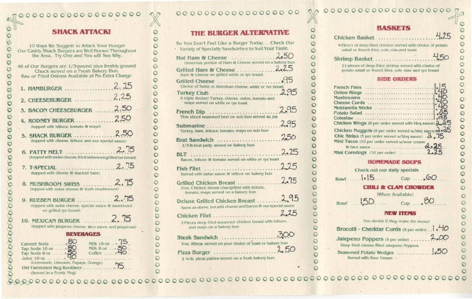### 0000000000000000

# **SHACK ATTACKI**

 $\circ$ 

 $\circ$ 

 $\circ$ 

O

 $\circ$ 

 $\circ$ 

 $\circ$ 

 $\circ$ 

Ö

 $\circ$ 

 $\circ$ 

 $\circ$ 

 $\circ$ 

 $\circ$ 

 $\circ$ 

 $\circ$ 

 $\circ$ 

 $\circ$ 

 $\circ$ 

Ö

O

C

 $\circ$ 

 $\circ$ 

O

O

O

| 10 Ways We Suggest to Attack Your Hunger<br>Our Caddy Shack Burgers are Well Known Throughout<br>the Area. Try One and You will See Why.         |                                                                    |  |  |  |
|--------------------------------------------------------------------------------------------------------------------------------------------------|--------------------------------------------------------------------|--|--|--|
| All of Our Burgers are 1/3-pound plus freshly ground<br>Chuck served on a Fresh Bakery Bun.<br>Raw or Fried Onions Available at No Extra Charge. |                                                                    |  |  |  |
| 1. HAMBURGER                                                                                                                                     | 2.15                                                               |  |  |  |
|                                                                                                                                                  |                                                                    |  |  |  |
| 3. BACON CHEESEBURGER  2.50                                                                                                                      |                                                                    |  |  |  |
| 4. RODNEY BURGER2,50<br>(topped with lettuce, tomato & mayo)                                                                                     |                                                                    |  |  |  |
| 5. SHACK BURGER<br>(topped with cheese, lettuce and our special sauce)                                                                           | 2.50                                                               |  |  |  |
| (topped with swiss cheese, fried onions on grilled rye bread)                                                                                    |                                                                    |  |  |  |
| (topped with cheese & stacked ham)                                                                                                               |                                                                    |  |  |  |
| (topped with swiss cheese & fresh mushrooms)                                                                                                     |                                                                    |  |  |  |
| (topped with swiss cheese, special sauce & sauerkraut)<br>on grilled tye bread)                                                                  |                                                                    |  |  |  |
| 10. MEXICAN BURGER<br>(topped with jalapena cheese, taco sauce and jalapenas)                                                                    | $\sim$ $ma$                                                        |  |  |  |
| <b>BEVERAGES</b>                                                                                                                                 |                                                                    |  |  |  |
| Canned Soda<br>Tap Soda 16-oz  80.<br>Juice $16-07$                                                                                              | Milk 16-oz  15<br>Milk 8-oz  50.<br>$C$ office $\ldots$ $\cdot$ 40 |  |  |  |
| (Lemonade, Limeade, Papaya, Orange).<br>(Served In a Prosty Mun)                                                                                 |                                                                    |  |  |  |

# 00 00 00 00 00 00 00 00 00

# **THE BURGER ALTERNATIVE**

| So You Don't Feel Like a Burger Today Check Our<br>Variety of Specialty Sandwiches to Suit Your Taste. |      |
|--------------------------------------------------------------------------------------------------------|------|
| Generous portion of Ham & Cheese served on a bakery bun                                                |      |
| Grilled Ham & Cheese 2.25<br>Ham & Cheese on grilled white or rye bread.                               |      |
| Grilled Cheese 95<br>Choice of Swiss or American cheese, white or rve bread                            |      |
| Turkey Club<br>A triple decker! Turkey, cheese, onion, tomato and<br>mayo served on white or rye toast | 2.95 |
| French Dip<br>Thin sliced seasoned beef on sub bun served au jus                                       | 295  |
| Submarine                                                                                              | 2.95 |
| Turkey, ham, lettuce, tomato, mayo on sub bun                                                          |      |
| 1/3-lb.brat patty, served on bakery bun                                                                | 2.25 |
| BLT www.communication.com<br>Bacon, lettuce & tomato served on white or rye toast                      |      |
| Fish Filet<br>Served with tartar sauce & lettuce on bakery bun.                                        | 2.25 |
| 6-oz. Chicken breast char-grilled with lettuce.                                                        |      |
| tomato, mayo served on a bakery bun                                                                    |      |
| Same as above, but add cheese and bacon & our special sauce                                            | 2.25 |
| Chicken Filet<br>2-Pieces deep fried seasoned chicken breast with lettuce.                             |      |
| and mayo on a bakery bun                                                                               |      |
| Steak Sandwich<br>5-oz. Ribeye served on your choice of toast or bakery bun                            |      |
| Pizza Burger                                                                                           | 2.50 |
| 2 14-lb. pizza pattles served on a fresh bakery bun                                                    |      |

#### 4.25 O Chicken Basket .............. 4-Pieces of deep fried chicken served with choice of potato salad or french fries, cole slaw, and toast 450 Shrimp Basket ......... 21-pieces of deep fried shrimp served with choice of potato salad or french fries, cole slaw and rye bread **SIDE ORDERS** French Fr  $\circ$ **Onion Rin** Mushroon  $\circ$ Cheese C  $\ddot{\circ}$ Mozzarella  $\circ$ Potato Sa Coleslaw  $\mathbf C$ Chicken V  $\circ$ Chicken N  $\circ$ **Chic Strip**  $\mathbf C$ Mini Taco  $\circ$ & tac  $\circ$ Mini Corn  $\circ$ **HOMEMADE SOUPS**  $\circ$ Check out our daily specials  $\Omega$ Bowl ..... 1.15 00  $\circ$ **CHILI & CLAM CHOWDER** (When Available)  $cup$  .80  $150$  $\circ$ Bowl ... с **NEW ITEMS**  $\circ$ You decide if they make the menu!  $\circ$  $\circ$  $\Omega$  $200$ Jalepeno Poppers (5 per order) ..... Deep fried cheese filled Jalepeno Peppers Served with Sour Cream .

#### **BASKETS**

| ies                                                       |   |
|-----------------------------------------------------------|---|
| IQS                                                       |   |
|                                                           |   |
|                                                           |   |
|                                                           |   |
|                                                           |   |
| .                                                         |   |
| Vings (8 per order served with bbq sauce) $a.35$          |   |
| luggets (8 per order served w/bbq sauce) 2:25             |   |
| is (5 per order served w/bbq sauce) $\cdot \lambda = 5$ . |   |
|                                                           |   |
| S (10 per order served w/sour cream                       |   |
| O SAUCE                                                   | 5 |
| $d$ ogs $(10 \text{ per order})$                          |   |

| $cup$ |  |  |
|-------|--|--|
|       |  |  |

 $\circ$